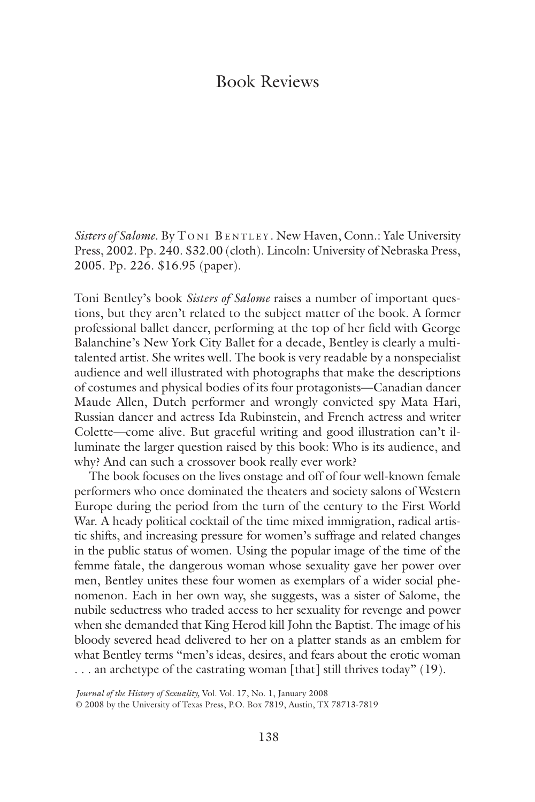## Book Reviews

*Sisters of Salome*. By T ONI BENTLEY . New Haven, Conn.: Yale University Press, 2002. Pp. 240. \$32.00 (cloth). Lincoln: University of Nebraska Press, 2005. Pp. 226. \$16.95 (paper).

Toni Bentley's book *Sisters of Salome* raises a number of important questions, but they aren't related to the subject matter of the book. A former professional ballet dancer, performing at the top of her field with George Balanchine's New York City Ballet for a decade, Bentley is clearly a multitalented artist. She writes well. The book is very readable by a nonspecialist audience and well illustrated with photographs that make the descriptions of costumes and physical bodies of its four protagonists—Canadian dancer Maude Allen, Dutch performer and wrongly convicted spy Mata Hari, Russian dancer and actress Ida Rubinstein, and French actress and writer Colette—come alive. But graceful writing and good illustration can't illuminate the larger question raised by this book: Who is its audience, and why? And can such a crossover book really ever work?

The book focuses on the lives onstage and off of four well-known female performers who once dominated the theaters and society salons of Western Europe during the period from the turn of the century to the First World War. A heady political cocktail of the time mixed immigration, radical artistic shifts, and increasing pressure for women's suffrage and related changes in the public status of women. Using the popular image of the time of the femme fatale, the dangerous woman whose sexuality gave her power over men, Bentley unites these four women as exemplars of a wider social phenomenon. Each in her own way, she suggests, was a sister of Salome, the nubile seductress who traded access to her sexuality for revenge and power when she demanded that King Herod kill John the Baptist. The image of his bloody severed head delivered to her on a platter stands as an emblem for what Bentley terms "men's ideas, desires, and fears about the erotic woman ... an archetype of the castrating woman [that] still thrives today" (19).

*Journal of the History of Sexuality,* Vol. Vol. 17, No. 1, January 2008

© 2008 by the University of Texas Press, P.O. Box 7819, Austin, TX 78713-7819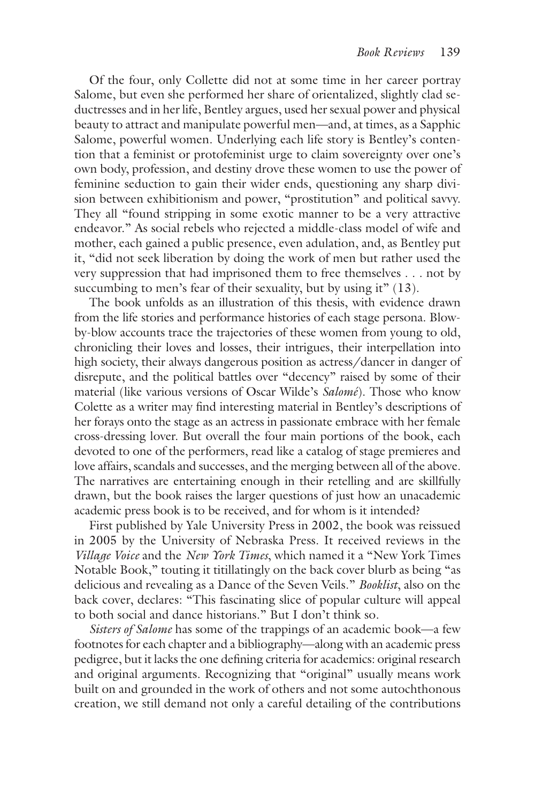Of the four, only Collette did not at some time in her career portray Salome, but even she performed her share of orientalized, slightly clad seductresses and in her life, Bentley argues, used her sexual power and physical beauty to attract and manipulate powerful men—and, at times, as a Sapphic Salome, powerful women. Underlying each life story is Bentley's contention that a feminist or protofeminist urge to claim sovereignty over one's own body, profession, and destiny drove these women to use the power of feminine seduction to gain their wider ends, questioning any sharp division between exhibitionism and power, "prostitution" and political savvy. They all "found stripping in some exotic manner to be a very attractive endeavor." As social rebels who rejected a middle-class model of wife and mother, each gained a public presence, even adulation, and, as Bentley put it, "did not seek liberation by doing the work of men but rather used the very suppression that had imprisoned them to free themselves . . . not by succumbing to men's fear of their sexuality, but by using it" (13).

The book unfolds as an illustration of this thesis, with evidence drawn from the life stories and performance histories of each stage persona. Blowby-blow accounts trace the trajectories of these women from young to old, chronicling their loves and losses, their intrigues, their interpellation into high society, their always dangerous position as actress/dancer in danger of disrepute, and the political battles over "decency" raised by some of their material (like various versions of Oscar Wilde's *Salomé*). Those who know Colette as a writer may find interesting material in Bentley's descriptions of her forays onto the stage as an actress in passionate embrace with her female cross-dressing lover. But overall the four main portions of the book, each devoted to one of the performers, read like a catalog of stage premieres and love affairs, scandals and successes, and the merging between all of the above. The narratives are entertaining enough in their retelling and are skillfully drawn, but the book raises the larger questions of just how an unacademic academic press book is to be received, and for whom is it intended?

First published by Yale University Press in 2002, the book was reissued in 2005 by the University of Nebraska Press. It received reviews in the *Village Voice* and the *New York Times*, which named it a "New York Times Notable Book," touting it titillatingly on the back cover blurb as being "as delicious and revealing as a Dance of the Seven Veils." *Booklist*, also on the back cover, declares: "This fascinating slice of popular culture will appeal to both social and dance historians." But I don't think so.

*Sisters of Salome* has some of the trappings of an academic book—a few footnotes for each chapter and a bibliography—along with an academic press pedigree, but it lacks the one defining criteria for academics: original research and original arguments. Recognizing that "original" usually means work built on and grounded in the work of others and not some autochthonous creation, we still demand not only a careful detailing of the contributions